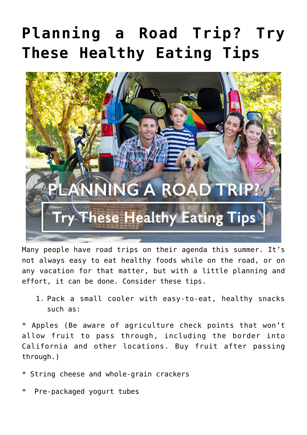## **[Planning a Road Trip? Try](https://livewellutah.org/2019/07/19/planning-a-road-trip-try-these-healthy-eating-tips/) [These Healthy Eating Tips](https://livewellutah.org/2019/07/19/planning-a-road-trip-try-these-healthy-eating-tips/)**



Many people have road trips on their agenda this summer. It's not always easy to eat healthy foods while on the road, or on any vacation for that matter, but with a little planning and effort, it can be done. Consider these tips.

1. Pack a small cooler with easy-to-eat, healthy snacks such as:

\* Apples (Be aware of agriculture check points that won't allow fruit to pass through, including the border into California and other locations. Buy fruit after passing through.)

- \* String cheese and whole-grain crackers
- Pre-packaged yogurt tubes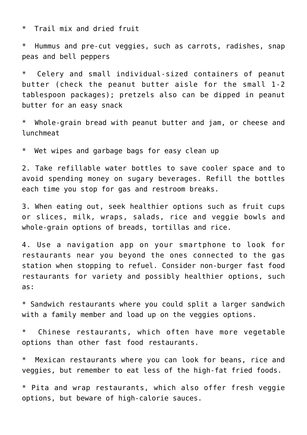\* Trail mix and dried fruit

\* Hummus and pre-cut veggies, such as carrots, radishes, snap peas and bell peppers

\* Celery and small individual-sized containers of peanut butter (check the peanut butter aisle for the small 1-2 tablespoon packages); pretzels also can be dipped in peanut butter for an easy snack

\* Whole-grain bread with peanut butter and jam, or cheese and lunchmeat

\* Wet wipes and garbage bags for easy clean up

2. Take refillable water bottles to save cooler space and to avoid spending money on sugary beverages. Refill the bottles each time you stop for gas and restroom breaks.

3. When eating out, seek healthier options such as fruit cups or slices, milk, wraps, salads, rice and veggie bowls and whole-grain options of breads, tortillas and rice.

4. Use a navigation app on your smartphone to look for restaurants near you beyond the ones connected to the gas station when stopping to refuel. Consider non-burger fast food restaurants for variety and possibly healthier options, such as:

\* Sandwich restaurants where you could split a larger sandwich with a family member and load up on the veggies options.

\* Chinese restaurants, which often have more vegetable options than other fast food restaurants.

\* Mexican restaurants where you can look for beans, rice and veggies, but remember to eat less of the high-fat fried foods.

\* Pita and wrap restaurants, which also offer fresh veggie options, but beware of high-calorie sauces.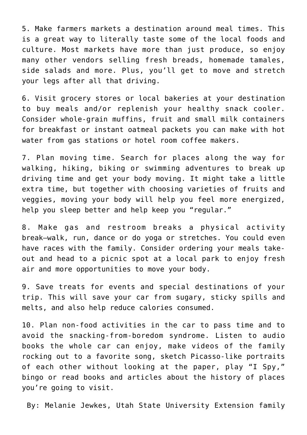5. Make farmers markets a destination around meal times. This is a great way to literally taste some of the local foods and culture. Most markets have more than just produce, so enjoy many other vendors selling fresh breads, homemade tamales, side salads and more. Plus, you'll get to move and stretch your legs after all that driving.

6. Visit grocery stores or local bakeries at your destination to buy meals and/or replenish your healthy snack cooler. Consider whole-grain muffins, fruit and small milk containers for breakfast or instant oatmeal packets you can make with hot water from gas stations or hotel room coffee makers.

7. Plan moving time. Search for places along the way for walking, hiking, biking or swimming adventures to break up driving time and get your body moving. It might take a little extra time, but together with choosing varieties of fruits and veggies, moving your body will help you feel more energized, help you sleep better and help keep you "regular."

8. Make gas and restroom breaks a physical activity break—walk, run, dance or do yoga or stretches. You could even have races with the family. Consider ordering your meals takeout and head to a picnic spot at a local park to enjoy fresh air and more opportunities to move your body.

9. Save treats for events and special destinations of your trip. This will save your car from sugary, sticky spills and melts, and also help reduce calories consumed.

10. Plan non-food activities in the car to pass time and to avoid the snacking-from-boredom syndrome. Listen to audio books the whole car can enjoy, make videos of the family rocking out to a favorite song, sketch Picasso-like portraits of each other without looking at the paper, play "I Spy," bingo or read books and articles about the history of places you're going to visit.

By: Melanie Jewkes, Utah State University Extension family